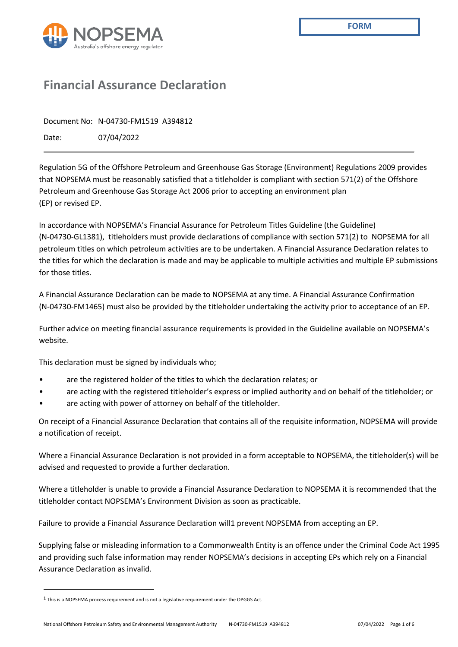

# **Financial Assurance Declaration**

Document No: N-04730-FM1519 A394812

Date: 07/04/2022

Regulation 5G of the Offshore Petroleum and Greenhouse Gas Storage (Environment) Regulations 2009 provides that NOPSEMA must be reasonably satisfied that a titleholder is compliant with section 571(2) of the Offshore Petroleum and Greenhouse Gas Storage Act 2006 prior to accepting an environment plan (EP) or revised EP.

In accordance with NOPSEMA's Financial Assurance for Petroleum Titles Guideline (the Guideline) (N-04730-GL1381), titleholders must provide declarations of compliance with section 571(2) to NOPSEMA for all petroleum titles on which petroleum activities are to be undertaken. A Financial Assurance Declaration relates to the titles for which the declaration is made and may be applicable to multiple activities and multiple EP submissions for those titles.

A Financial Assurance Declaration can be made to NOPSEMA at any time. A Financial Assurance Confirmation (N-04730-FM1465) must also be provided by the titleholder undertaking the activity prior to acceptance of an EP.

Further advice on meeting financial assurance requirements is provided in the Guideline available on NOPSEMA's website.

This declaration must be signed by individuals who;

- are the registered holder of the titles to which the declaration relates; or
- are acting with the registered titleholder's express or implied authority and on behalf of the titleholder; or
- are acting with power of attorney on behalf of the titleholder.

On receipt of a Financial Assurance Declaration that contains all of the requisite information, NOPSEMA will provide a notification of receipt.

Where a Financial Assurance Declaration is not provided in a form acceptable to NOPSEMA, the titleholder(s) will be advised and requested to provide a further declaration.

Where a titleholder is unable to provide a Financial Assurance Declaration to NOPSEMA it is recommended that the titleholder contact NOPSEMA's Environment Division as soon as practicable.

Failure to provide a Financial Assurance Declaration will1 prevent NOPSEMA from accepting an EP.

Supplying false or misleading information to a Commonwealth Entity is an offence under the Criminal Code Act 1995 and providing such false information may render NOPSEMA's decisions in accepting EPs which rely on a Financial Assurance Declaration as invalid.

<sup>1</sup> This is a NOPSEMA process requirement and is not a legislative requirement under the OPGGS Act.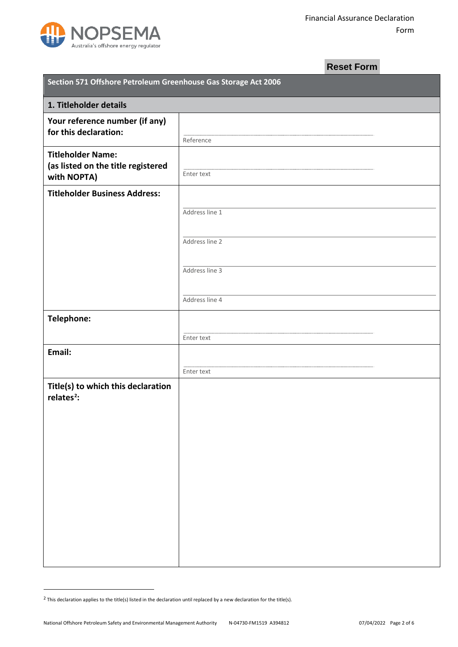

## **Reset Form**

| Section 571 Offshore Petroleum Greenhouse Gas Storage Act 2006<br>1. Titleholder details |                |  |  |  |
|------------------------------------------------------------------------------------------|----------------|--|--|--|
|                                                                                          |                |  |  |  |
| <b>Titleholder Name:</b><br>(as listed on the title registered<br>with NOPTA)            | Enter text     |  |  |  |
| <b>Titleholder Business Address:</b>                                                     | Address line 1 |  |  |  |
|                                                                                          | Address line 2 |  |  |  |
|                                                                                          | Address line 3 |  |  |  |
|                                                                                          | Address line 4 |  |  |  |
| Telephone:                                                                               | Enter text     |  |  |  |
| Email:                                                                                   |                |  |  |  |
| Title(s) to which this declaration<br>relates <sup>2</sup> :                             | Enter text     |  |  |  |

<span id="page-1-0"></span> $2$  This declaration applies to the title(s) listed in the declaration until replaced by a new declaration for the title(s).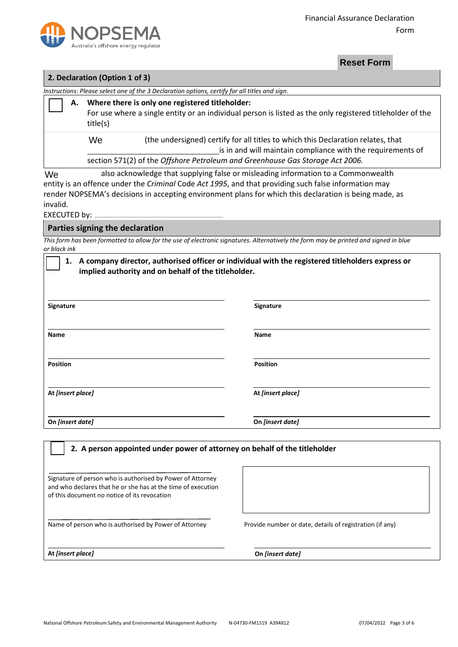

### **2. Declaration (Option 1 of 3)** *Instructions: Please select one of the 3 Declaration options, certify for all titles and sign.* **A. Where there is only one registered titleholder:** For use where a single entity or an individual person is listed as the only registered titleholder of the title(s) (the undersigned) certify for all titles to which this Declaration relates, that is in and will maintain compliance with the requirements of section 571(2) of the *Offshore Petroleum and Greenhouse Gas Storage Act 2006.*  We also acknowledge that supplying false or misleading information to a Commonwealth entity is an offence under the *Criminal* Code *Act 1995*, and that providing such false information may render NOPSEMA's decisions in accepting environment plans for which this declaration is being made, as invalid. EXECUTED by: ............ **Parties signing the declaration**  We **Propertions:** Please select one of the 3 Declaration options, certify for all titles and sign.<br> **A.** Where there is only one registered titleholder:<br>
For use where a single entity or an individual person is listed as the

*This form has been formatted to allow for the use of electronic signatures. Alternatively the form may be printed and signed in blue or black ink*

| A company director, authorised officer or individual with the registered titleholders express or<br>1.<br>implied authority and on behalf of the titleholder. |                   |  |  |
|---------------------------------------------------------------------------------------------------------------------------------------------------------------|-------------------|--|--|
| Signature                                                                                                                                                     | <b>Signature</b>  |  |  |
| <b>Name</b>                                                                                                                                                   | Name              |  |  |
| <b>Position</b>                                                                                                                                               | <b>Position</b>   |  |  |
| At [insert place]                                                                                                                                             | At [insert place] |  |  |
| On [insert date]                                                                                                                                              | On [insert date]  |  |  |
| 2. A person appointed under power of attorney on behalf of the titleholder                                                                                    |                   |  |  |

Signature of person who is authorised by Power of Attorney and who declares that he or she has at the time of execution of this document no notice of its revocation

Name of person who is authorised by Power of Attorney Provide number or date, details of registration (if any)

**At** *[insert place]* **On** *[insert date]*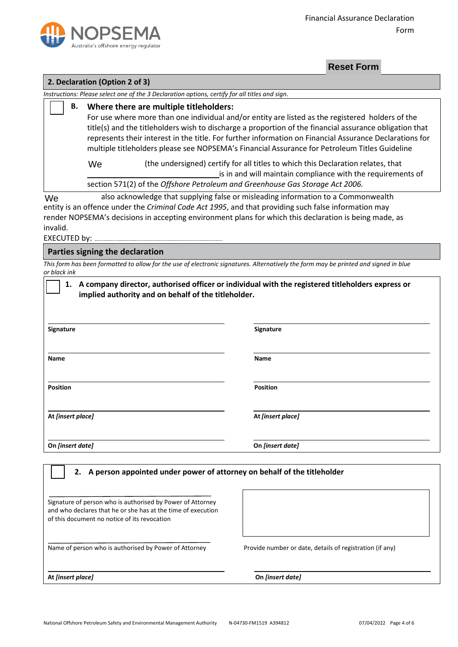

#### **2. Declaration (Option 2 of 3)**

*Instructions: Please select one of the 3 Declaration options, certify for all titles and sign.*

**B. Where there are multiple titleholders:** For use where more than one individual and/or entity are listed as the registered holders of the title(s) and the titleholders wish to discharge a proportion of the financial assurance obligation that represents their interest in the title. For further information on Financial Assurance Declarations for multiple titleholders please see NOPSEMA's Financial Assurance for Petroleum Titles Guideline (the undersigned) certify for all titles to which this Declaration relates, that is in and will maintain compliance with the requirements of section 571(2) of the *Offshore Petroleum and Greenhouse Gas Storage Act 2006.*  We also acknowledge that supplying false or misleading information to a Commonwealth We **Example 12 A Declaration (Option 2 of 3)**<br> **Reset Form**<br>
Instructions: Please select one of the 3 Declaration options, certify for all titles and sign.<br> **B.** Where there are multiple titleholders:<br>
For use where more than

entity is an offence under the *Criminal Code Act 1995*, and that providing such false information may render NOPSEMA's decisions in accepting environment plans for which this declaration is being made, as invalid.

EXECUTED by:

#### **Parties signing the declaration**

*This form has been formatted to allow for the use of electronic signatures. Alternatively the form may be printed and signed in blue or black ink*

| Signature         | Signature         |  |
|-------------------|-------------------|--|
| <b>Name</b>       | Name              |  |
| <b>Position</b>   | <b>Position</b>   |  |
| At [insert place] | At [insert place] |  |
| On [insert date]  | On [insert date]  |  |

Signature of person who is authorised by Power of Attorney and who declares that he or she has at the time of execution of this document no notice of its revocation

Name of person who is authorised by Power of Attorney Provide number or date, details of registration (if any)

**At** *[insert place]* **On** *[insert date]*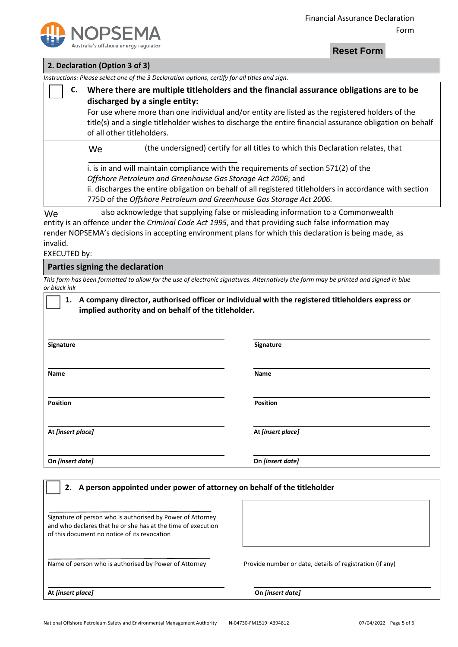

|  | 2. Declaration (Option 3 of 3) |
|--|--------------------------------|
|--|--------------------------------|

|                   |                                                                                                                                                                                                                                                                                                                                                                          |                                                                                                                                                                                                                                                       | <b>Reset Form</b>                                                                                                                                                                                                                                                                                   |  |
|-------------------|--------------------------------------------------------------------------------------------------------------------------------------------------------------------------------------------------------------------------------------------------------------------------------------------------------------------------------------------------------------------------|-------------------------------------------------------------------------------------------------------------------------------------------------------------------------------------------------------------------------------------------------------|-----------------------------------------------------------------------------------------------------------------------------------------------------------------------------------------------------------------------------------------------------------------------------------------------------|--|
|                   | 2. Declaration (Option 3 of 3)                                                                                                                                                                                                                                                                                                                                           |                                                                                                                                                                                                                                                       |                                                                                                                                                                                                                                                                                                     |  |
|                   |                                                                                                                                                                                                                                                                                                                                                                          | Instructions: Please select one of the 3 Declaration options, certify for all titles and sign.                                                                                                                                                        |                                                                                                                                                                                                                                                                                                     |  |
| C.                | Where there are multiple titleholders and the financial assurance obligations are to be<br>discharged by a single entity:<br>For use where more than one individual and/or entity are listed as the registered holders of the<br>title(s) and a single titleholder wishes to discharge the entire financial assurance obligation on behalf<br>of all other titleholders. |                                                                                                                                                                                                                                                       |                                                                                                                                                                                                                                                                                                     |  |
|                   | We                                                                                                                                                                                                                                                                                                                                                                       |                                                                                                                                                                                                                                                       | (the undersigned) certify for all titles to which this Declaration relates, that                                                                                                                                                                                                                    |  |
|                   | i. is in and will maintain compliance with the requirements of section 571(2) of the<br>Offshore Petroleum and Greenhouse Gas Storage Act 2006; and<br>ii. discharges the entire obligation on behalf of all registered titleholders in accordance with section<br>775D of the Offshore Petroleum and Greenhouse Gas Storage Act 2006.                                   |                                                                                                                                                                                                                                                       |                                                                                                                                                                                                                                                                                                     |  |
| We<br>invalid.    |                                                                                                                                                                                                                                                                                                                                                                          |                                                                                                                                                                                                                                                       | also acknowledge that supplying false or misleading information to a Commonwealth<br>entity is an offence under the Criminal Code Act 1995, and that providing such false information may<br>render NOPSEMA's decisions in accepting environment plans for which this declaration is being made, as |  |
|                   | Parties signing the declaration                                                                                                                                                                                                                                                                                                                                          |                                                                                                                                                                                                                                                       |                                                                                                                                                                                                                                                                                                     |  |
| or black ink      |                                                                                                                                                                                                                                                                                                                                                                          |                                                                                                                                                                                                                                                       | This form has been formatted to allow for the use of electronic signatures. Alternatively the form may be printed and signed in blue                                                                                                                                                                |  |
| Signature         |                                                                                                                                                                                                                                                                                                                                                                          | implied authority and on behalf of the titleholder.                                                                                                                                                                                                   | 1. A company director, authorised officer or individual with the registered titleholders express or<br>Signature                                                                                                                                                                                    |  |
| Name              |                                                                                                                                                                                                                                                                                                                                                                          |                                                                                                                                                                                                                                                       | Name                                                                                                                                                                                                                                                                                                |  |
| <b>Position</b>   |                                                                                                                                                                                                                                                                                                                                                                          |                                                                                                                                                                                                                                                       | <b>Position</b>                                                                                                                                                                                                                                                                                     |  |
| At [insert place] |                                                                                                                                                                                                                                                                                                                                                                          |                                                                                                                                                                                                                                                       | At [insert place]                                                                                                                                                                                                                                                                                   |  |
| On [insert date]  |                                                                                                                                                                                                                                                                                                                                                                          |                                                                                                                                                                                                                                                       | On [insert date]                                                                                                                                                                                                                                                                                    |  |
| 2.                |                                                                                                                                                                                                                                                                                                                                                                          | A person appointed under power of attorney on behalf of the titleholder<br>Signature of person who is authorised by Power of Attorney<br>and who declares that he or she has at the time of execution<br>of this document no notice of its revocation |                                                                                                                                                                                                                                                                                                     |  |
|                   |                                                                                                                                                                                                                                                                                                                                                                          | Name of person who is authorised by Power of Attorney                                                                                                                                                                                                 | Provide number or date, details of registration (if any)                                                                                                                                                                                                                                            |  |

**At** *[insert place]* **On** *[insert date]*